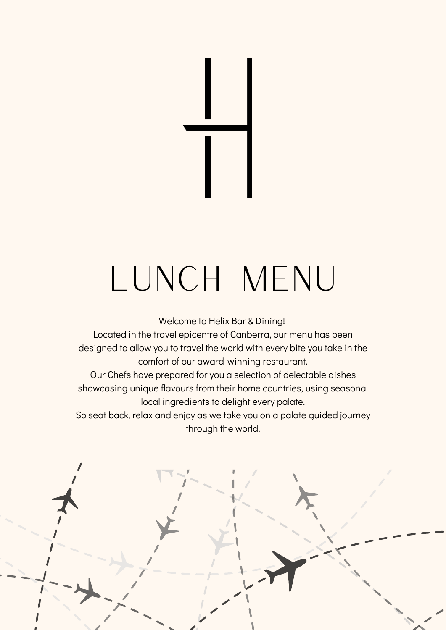# LUNCH MENU

Welcome to Helix Bar & Dining!

Located in the travel epicentre of Canberra, our menu has been designed to allow you to travel the world with every bite you take in the comfort of our award-winning restaurant.

Our Chefs have prepared for you a selection of delectable dishes showcasing unique flavours from their home countries, using seasonal local ingredients to delight every palate.

So seat back, relax and enjoy as we take you on a palate guided journey through the world.

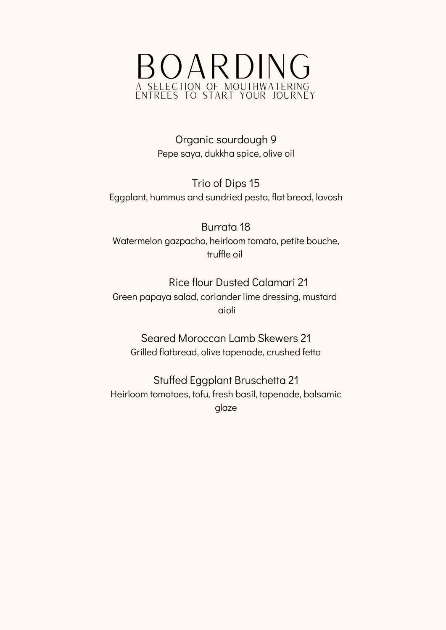

Organic sourdough 9 Pepe saya, dukkha spice, olive oil

Trio of Dips 15 Eggplant, hummus and sundried pesto, flat bread, lavosh

Burrata 18 Watermelon gazpacho, heirloom tomato, petite bouche, truffle oil

Rice flour Dusted Calamari 21 Green papaya salad, coriander lime dressing, mustard aioli

Seared Moroccan Lamb Skewers 21 Grilled flatbread, olive tapenade, crushed fetta

Stuffed Eggplant Bruschetta 21 Heirloom tomatoes, tofu, fresh basil, tapenade, balsamic glaze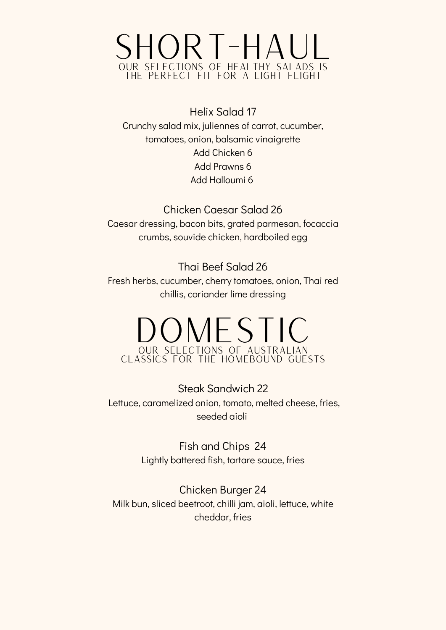

Helix Salad 17 Crunchy salad mix, juliennes of carrot, cucumber, tomatoes, onion, balsamic vinaigrette Add Chicken 6 Add Prawns 6 Add Halloumi 6

Chicken Caesar Salad 26 Caesar dressing, bacon bits, grated parmesan, focaccia crumbs, souvide chicken, hardboiled egg

Thai Beef Salad 26 Fresh herbs, cucumber, cherry tomatoes, onion, Thai red chillis, coriander lime dressing

# DOMESTIC OUR SELECTIONS OF AUSTRALIAN CLASSICS FOR THE HOMEBOUND GUESTS

Steak Sandwich 22 Lettuce, caramelized onion, tomato, melted cheese, fries, seeded aioli

> Fish and Chips 24 Lightly battered fish, tartare sauce, fries

Chicken Burger 24 Milk bun, sliced beetroot, chilli jam, aioli, lettuce, white cheddar, fries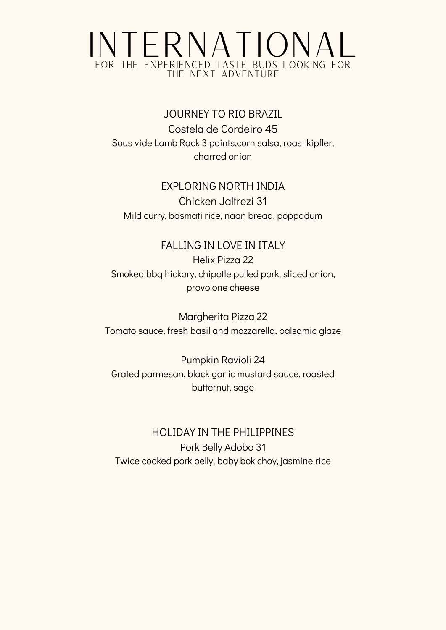# INTERNATIONAL FOR THE EXPERIENCED TASTE BUDS LOOKING FOR THE NEXT ADVENTURE

#### JOURNEY TO RIO BRAZIL Costela de Cordeiro 45

Sous vide Lamb Rack 3 points,corn salsa, roast kipfler, charred onion

#### EXPLORING NORTH INDIA

Chicken Jalfrezi 31 Mild curry, basmati rice, naan bread, poppadum

### FALLING IN LOVE IN ITALY

Helix Pizza 22 Smoked bbq hickory, chipotle pulled pork, sliced onion, provolone cheese

Margherita Pizza 22 Tomato sauce, fresh basil and mozzarella, balsamic glaze

Pumpkin Ravioli 24 Grated parmesan, black garlic mustard sauce, roasted butternut, sage

#### HOLIDAY IN THE PHILIPPINES Pork Belly Adobo 31 Twice cooked pork belly, baby bok choy, jasmine rice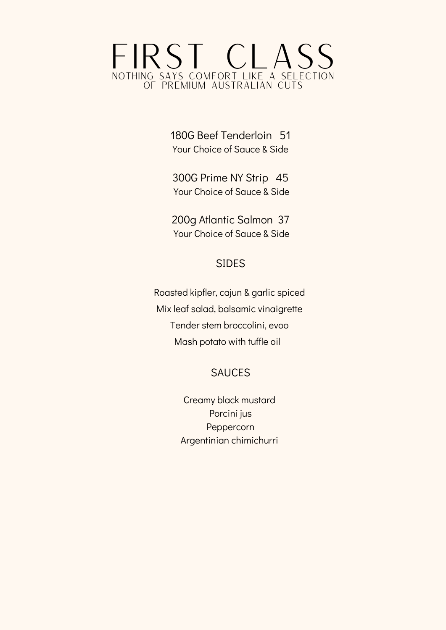# FIRST CLASS<br>NOTHING SAYS COMFORT LIKE A SELECTION SAYS COMFORT LIKE A SELECTION OF PREMIUM AUSTRALIAN CUTS

180G Beef Tenderloin 51 Your Choice of Sauce & Side

300G Prime NY Strip 45 Your Choice of Sauce & Side

200g Atlantic Salmon 37 Your Choice of Sauce & Side

#### SIDES

Roasted kipfler, cajun & garlic spiced Mix leaf salad, balsamic vinaigrette Tender stem broccolini, evoo Mash potato with tuffle oil

#### SAUCES

Creamy black mustard Porcini jus Peppercorn Argentinian chimichurri